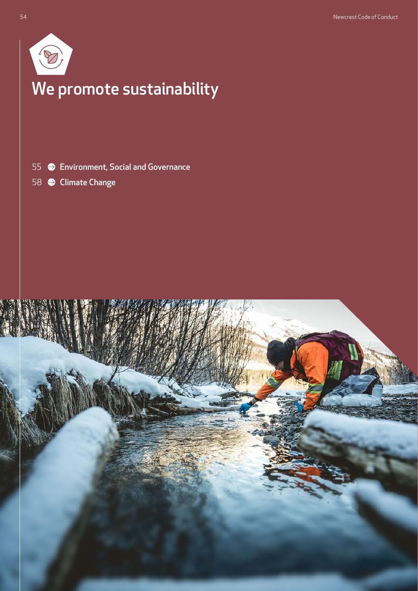

# We promote sustainability

[Environment, Social and Governance](#page-1-0)

**● [Climate Change](#page-4-0)** 

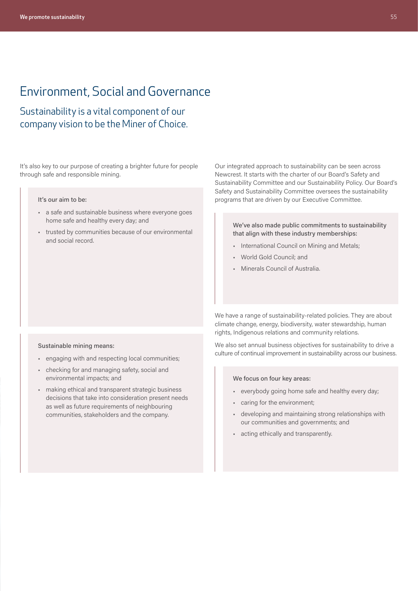# <span id="page-1-0"></span>Environment, Social and Governance

Sustainability is a vital component of our company vision to be the Miner of Choice.

It's also key to our purpose of creating a brighter future for people through safe and responsible mining.

#### It's our aim to be:

- a safe and sustainable business where everyone goes home safe and healthy every day; and
- trusted by communities because of our environmental and social record.

Our integrated approach to sustainability can be seen across Newcrest. It starts with the charter of our Board's Safety and Sustainability Committee and our Sustainability Policy. Our Board's Safety and Sustainability Committee oversees the sustainability programs that are driven by our Executive Committee.

We've also made public commitments to sustainability that align with these industry memberships:

- International Council on Mining and Metals;
- World Gold Council; and
- Minerals Council of Australia.

We have a range of sustainability-related policies. They are about climate change, energy, biodiversity, water stewardship, human rights, Indigenous relations and community relations.

We also set annual business objectives for sustainability to drive a culture of continual improvement in sustainability across our business.

#### We focus on four key areas:

- everybody going home safe and healthy every day;
- caring for the environment;
- developing and maintaining strong relationships with our communities and governments; and
- acting ethically and transparently.

#### Sustainable mining means:

- engaging with and respecting local communities;
- checking for and managing safety, social and environmental impacts; and
- making ethical and transparent strategic business decisions that take into consideration present needs as well as future requirements of neighbouring communities, stakeholders and the company.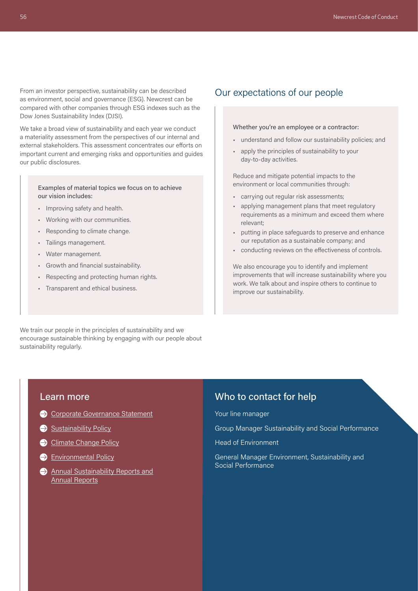From an investor perspective, sustainability can be described as environment, social and governance (ESG). Newcrest can be compared with other companies through ESG indexes such as the Dow Jones Sustainability Index (DJSI).

We take a broad view of sustainability and each year we conduct a materiality assessment from the perspectives of our internal and external stakeholders. This assessment concentrates our efforts on important current and emerging risks and opportunities and guides our public disclosures.

#### Examples of material topics we focus on to achieve our vision includes:

- Improving safety and health.
- Working with our communities.
- Responding to climate change.
- Tailings management.
- Water management.
- Growth and financial sustainability.
- Respecting and protecting human rights.
- Transparent and ethical business.

### Our expectations of our people

#### Whether you're an employee or a contractor:

- understand and follow our sustainability policies; and
- apply the principles of sustainability to your day-to-day activities.

Reduce and mitigate potential impacts to the environment or local communities through:

- carrying out regular risk assessments;
- applying management plans that meet regulatory requirements as a minimum and exceed them where relevant;
- putting in place safeguards to preserve and enhance our reputation as a sustainable company; and
- conducting reviews on the effectiveness of controls.

We also encourage you to identify and implement improvements that will increase sustainability where you work. We talk about and inspire others to continue to improve our sustainability.

We train our people in the principles of sustainability and we encourage sustainable thinking by engaging with our people about sustainability regularly.

#### Learn more

[Corporate Governance Statement](https://www.newcrest.com/sites/default/files/2021-10/211005_Newcrest_CGS_2021.pdf)

#### [Sustainability Policy](https://www.newcrest.com/sites/default/files/2019-10/1906_Newcrest%20Sustainability%20Policy.pdf)

- [Climate Change Policy](https://www.newcrest.com/sites/default/files/2019-10/1906_Newcrest%20Climate%20Change%20Policy.pdf)
- **[Environmental Policy](https://www.newcrest.com/sites/default/files/2019-10/1706_Newcrest%20Environmental%20Policy.pdf)**
- **Annual Sustainability Reports and** [Annual Reports](https://www.newcrest.com/investor-centre/results-reports?report_type=8)

### Who to contact for help

Your line manager

Group Manager Sustainability and Social Performance

Head of Environment

General Manager Environment, Sustainability and Social Performance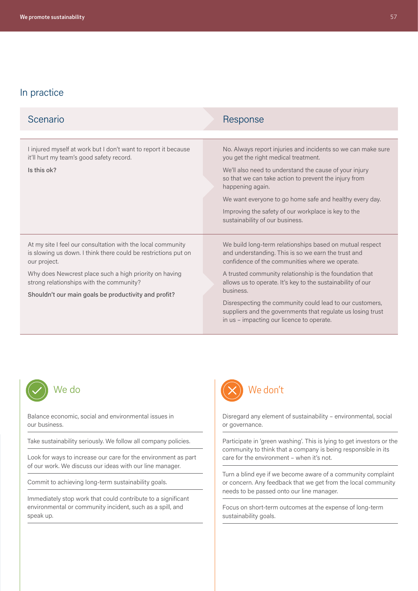# In practice

| Scenario                                                                                                                                      | Response                                                                                                                                                                          |
|-----------------------------------------------------------------------------------------------------------------------------------------------|-----------------------------------------------------------------------------------------------------------------------------------------------------------------------------------|
|                                                                                                                                               |                                                                                                                                                                                   |
| I injured myself at work but I don't want to report it because<br>it'll hurt my team's good safety record.                                    | No. Always report injuries and incidents so we can make sure<br>you get the right medical treatment.                                                                              |
| Is this ok?                                                                                                                                   | We'll also need to understand the cause of your injury<br>so that we can take action to prevent the injury from<br>happening again.                                               |
|                                                                                                                                               | We want everyone to go home safe and healthy every day.                                                                                                                           |
|                                                                                                                                               | Improving the safety of our workplace is key to the<br>sustainability of our business.                                                                                            |
| At my site I feel our consultation with the local community<br>is slowing us down. I think there could be restrictions put on<br>our project. | We build long-term relationships based on mutual respect<br>and understanding. This is so we earn the trust and<br>confidence of the communities where we operate.                |
| Why does Newcrest place such a high priority on having<br>strong relationships with the community?                                            | A trusted community relationship is the foundation that<br>allows us to operate. It's key to the sustainability of our                                                            |
| Shouldn't our main goals be productivity and profit?                                                                                          | business.<br>Disrespecting the community could lead to our customers,<br>suppliers and the governments that regulate us losing trust<br>in us – impacting our licence to operate. |



Balance economic, social and environmental issues in our business.

Take sustainability seriously. We follow all company policies.

Look for ways to increase our care for the environment as part of our work. We discuss our ideas with our line manager.

Commit to achieving long-term sustainability goals.

Immediately stop work that could contribute to a significant environmental or community incident, such as a spill, and speak up.



Disregard any element of sustainability – environmental, social or governance.

Participate in 'green washing'. This is lying to get investors or the community to think that a company is being responsible in its care for the environment – when it's not.

Turn a blind eye if we become aware of a community complaint or concern. Any feedback that we get from the local community needs to be passed onto our line manager.

Focus on short-term outcomes at the expense of long-term sustainability goals.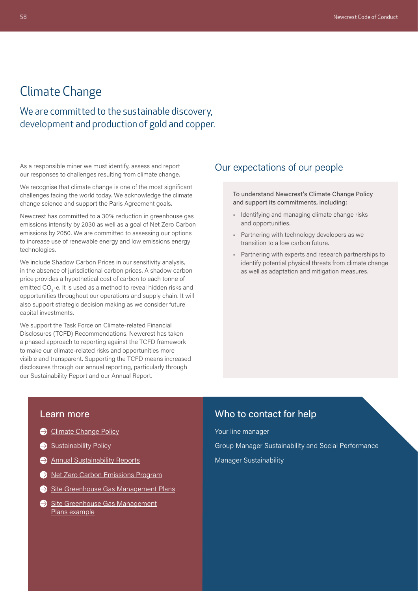# <span id="page-4-0"></span>Climate Change

We are committed to the sustainable discovery, development and production of gold and copper.

As a responsible miner we must identify, assess and report our responses to challenges resulting from climate change.

We recognise that climate change is one of the most significant challenges facing the world today. We acknowledge the climate change science and support the Paris Agreement goals.

Newcrest has committed to a 30% reduction in greenhouse gas emissions intensity by 2030 as well as a goal of Net Zero Carbon emissions by 2050. We are committed to assessing our options to increase use of renewable energy and low emissions energy technologies.

We include Shadow Carbon Prices in our sensitivity analysis, in the absence of jurisdictional carbon prices. A shadow carbon price provides a hypothetical cost of carbon to each tonne of emitted CO<sub>2</sub>-e. It is used as a method to reveal hidden risks and opportunities throughout our operations and supply chain. It will also support strategic decision making as we consider future capital investments.

We support the Task Force on Climate-related Financial Disclosures (TCFD) Recommendations. Newcrest has taken a phased approach to reporting against the TCFD framework to make our climate-related risks and opportunities more visible and transparent. Supporting the TCFD means increased disclosures through our annual reporting, particularly through our Sustainability Report and our Annual Report.

### Our expectations of our people

To understand Newcrest's Climate Change Policy and support its commitments, including:

- Identifying and managing climate change risks and opportunities.
- Partnering with technology developers as we transition to a low carbon future.
- Partnering with experts and research partnerships to identify potential physical threats from climate change as well as adaptation and mitigation measures.

#### Learn more

- [Climate Change Policy](https://www.newcrest.com/sites/default/files/2019-10/1906_Newcrest%20Climate%20Change%20Policy.pdf)
- [Sustainability Policy](https://www.newcrest.com/sites/default/files/2019-10/1906_Newcrest%20Sustainability%20Policy.pdf)
- [Annual Sustainability Reports](https://www.newcrest.com/investor-centre/results-reports?report_type=8)
- $\ominus$  [Net Zero Carbon Emissions Program](https://www.newcrest.com/sites/default/files/2021-05/Net%20Zero%20Statement.pdf)
- [Site Greenhouse Gas Management Plans](https://www.newcrest.com/sites/default/files/2021-05/Net%20Zero%20Statement.pdf)
- Site Greenhouse Gas Management Plans example

### Who to contact for help

Your line manager

Group Manager Sustainability and Social Performance Manager Sustainability